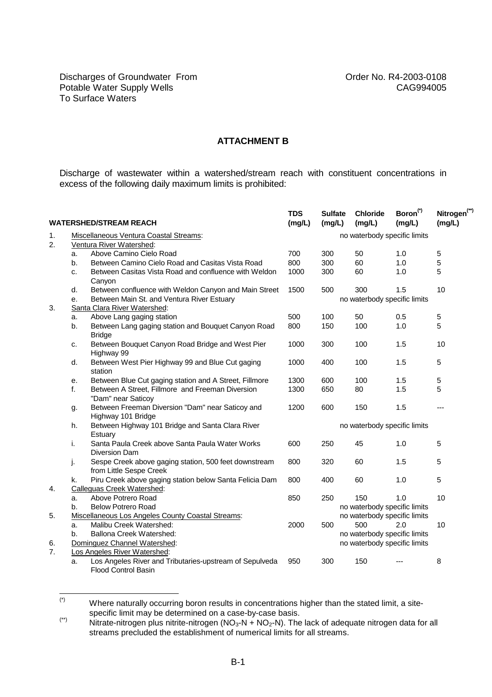## **ATTACHMENT B**

Discharge of wastewater within a watershed/stream reach with constituent concentrations in excess of the following daily maximum limits is prohibited:

| <b>WATERSHED/STREAM REACH</b> |                                                          |                                                                                  | <b>TDS</b><br>(mg/L)         | <b>Sulfate</b><br>(mg/L)     | <b>Chloride</b><br>(mg/L)    | Boron <sup>(*)</sup><br>(mg/L) | Nitrogen <sup>(**)</sup><br>(mg/L) |  |  |  |  |
|-------------------------------|----------------------------------------------------------|----------------------------------------------------------------------------------|------------------------------|------------------------------|------------------------------|--------------------------------|------------------------------------|--|--|--|--|
| 1.                            | Miscellaneous Ventura Coastal Streams:                   |                                                                                  |                              | no waterbody specific limits |                              |                                |                                    |  |  |  |  |
| 2.                            | Ventura River Watershed:                                 |                                                                                  |                              |                              |                              |                                |                                    |  |  |  |  |
|                               | a.                                                       | Above Camino Cielo Road                                                          | 700                          | 300                          | 50                           | 1.0                            | 5                                  |  |  |  |  |
|                               | b.                                                       | Between Camino Cielo Road and Casitas Vista Road                                 | 800                          | 300                          | 60                           | 1.0                            | 5                                  |  |  |  |  |
|                               | c.                                                       | Between Casitas Vista Road and confluence with Weldon<br>Canyon                  | 1000                         | 300                          | 60                           | 1.0                            | 5                                  |  |  |  |  |
|                               | d.                                                       | Between confluence with Weldon Canyon and Main Street                            | 1500                         | 500                          | 300                          | 1.5                            | 10                                 |  |  |  |  |
|                               | е.                                                       | Between Main St. and Ventura River Estuary                                       | no waterbody specific limits |                              |                              |                                |                                    |  |  |  |  |
| 3.                            |                                                          | Santa Clara River Watershed:                                                     |                              |                              |                              |                                |                                    |  |  |  |  |
|                               | a.                                                       | Above Lang gaging station                                                        | 500                          | 100                          | 50                           | 0.5                            | 5                                  |  |  |  |  |
|                               | b.                                                       | Between Lang gaging station and Bouquet Canyon Road<br><b>Bridge</b>             | 800                          | 150                          | 100                          | 1.0                            | 5                                  |  |  |  |  |
|                               | c.                                                       | Between Bouquet Canyon Road Bridge and West Pier<br>Highway 99                   | 1000                         | 300                          | 100                          | 1.5                            | 10                                 |  |  |  |  |
|                               | d.                                                       | Between West Pier Highway 99 and Blue Cut gaging<br>station                      | 1000                         | 400                          | 100                          | 1.5                            | 5                                  |  |  |  |  |
|                               | е.                                                       | Between Blue Cut gaging station and A Street, Fillmore                           | 1300                         | 600                          | 100                          | 1.5                            | 5                                  |  |  |  |  |
|                               | f.                                                       | Between A Street, Fillmore and Freeman Diversion<br>"Dam" near Saticoy           | 1300                         | 650                          | 80                           | 1.5                            | 5                                  |  |  |  |  |
|                               | g.                                                       | Between Freeman Diversion "Dam" near Saticoy and<br>Highway 101 Bridge           | 1200                         | 600                          | 150                          | 1.5                            | ---                                |  |  |  |  |
|                               | h.                                                       | Between Highway 101 Bridge and Santa Clara River<br>Estuary                      | no waterbody specific limits |                              |                              |                                |                                    |  |  |  |  |
|                               | i.                                                       | Santa Paula Creek above Santa Paula Water Works<br>Diversion Dam                 | 600                          | 250                          | 45                           | 1.0                            | 5                                  |  |  |  |  |
|                               | j.                                                       | Sespe Creek above gaging station, 500 feet downstream<br>from Little Sespe Creek | 800                          | 320                          | 60                           | 1.5                            | 5                                  |  |  |  |  |
|                               | k.                                                       | Piru Creek above gaging station below Santa Felicia Dam                          | 800                          | 400                          | 60                           | 1.0                            | 5                                  |  |  |  |  |
| 4.                            | <b>Calleguas Creek Watershed:</b>                        |                                                                                  |                              |                              |                              |                                |                                    |  |  |  |  |
|                               | a.                                                       | Above Potrero Road                                                               | 850                          | 250                          | 150                          | 1.0                            | 10                                 |  |  |  |  |
|                               | b.                                                       | <b>Below Potrero Road</b>                                                        |                              |                              | no waterbody specific limits |                                |                                    |  |  |  |  |
| 5.                            | <b>Miscellaneous Los Angeles County Coastal Streams:</b> |                                                                                  |                              |                              | no waterbody specific limits |                                |                                    |  |  |  |  |
|                               | a.                                                       | Malibu Creek Watershed:                                                          | 2000                         | 500                          | 500                          | 2.0                            | 10                                 |  |  |  |  |
|                               | b.<br><b>Ballona Creek Watershed:</b>                    |                                                                                  |                              |                              | no waterbody specific limits |                                |                                    |  |  |  |  |
| 6.                            |                                                          | Dominguez Channel Watershed:                                                     |                              |                              | no waterbody specific limits |                                |                                    |  |  |  |  |
| 7.                            | Los Angeles River Watershed:                             |                                                                                  |                              |                              |                              |                                |                                    |  |  |  |  |
|                               | a.                                                       | Los Angeles River and Tributaries-upstream of Sepulveda<br>Flood Control Basin   | 950                          | 300                          | 150                          |                                | 8                                  |  |  |  |  |

 $(*)$ Where naturally occurring boron results in concentrations higher than the stated limit, a sitespecific limit may be determined on a case-by-case basis.

<sup>(\*\*)</sup> because in the nitrogen plus nitrite-nitrogen (NO<sub>3</sub>-N + NO<sub>2</sub>-N). The lack of adequate nitrogen data for all streams precluded the establishment of numerical limits for all streams.